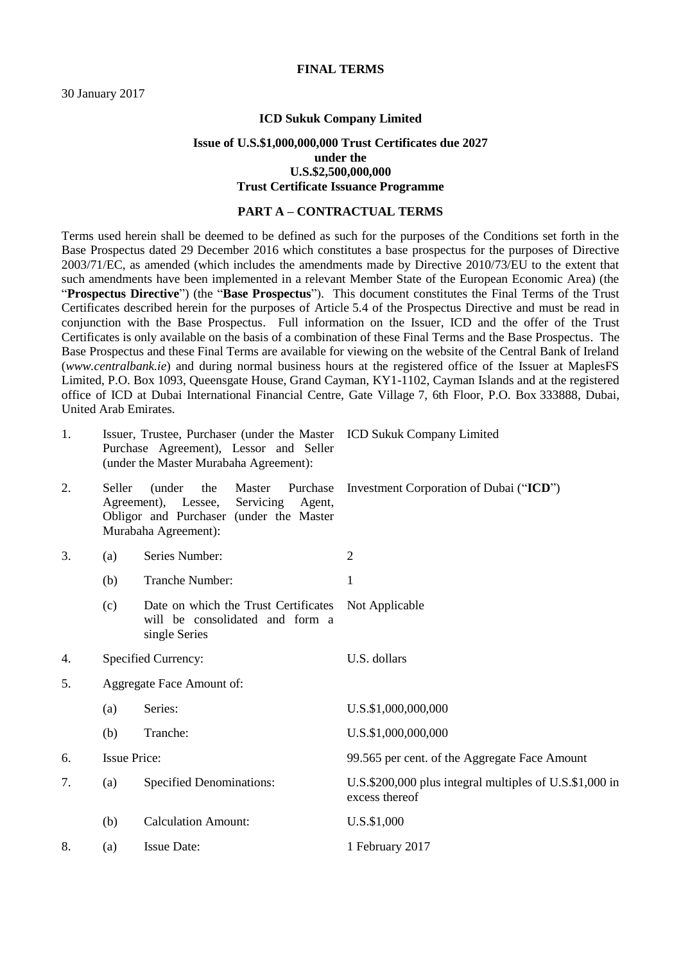### **FINAL TERMS**

### **ICD Sukuk Company Limited**

### **Issue of U.S.\$1,000,000,000 Trust Certificates due 2027 under the U.S.\$2,500,000,000 Trust Certificate Issuance Programme**

#### **PART A – CONTRACTUAL TERMS**

Terms used herein shall be deemed to be defined as such for the purposes of the Conditions set forth in the Base Prospectus dated 29 December 2016 which constitutes a base prospectus for the purposes of Directive 2003/71/EC, as amended (which includes the amendments made by Directive 2010/73/EU to the extent that such amendments have been implemented in a relevant Member State of the European Economic Area) (the "**Prospectus Directive**") (the "**Base Prospectus**"). This document constitutes the Final Terms of the Trust Certificates described herein for the purposes of Article 5.4 of the Prospectus Directive and must be read in conjunction with the Base Prospectus. Full information on the Issuer, ICD and the offer of the Trust Certificates is only available on the basis of a combination of these Final Terms and the Base Prospectus. The Base Prospectus and these Final Terms are available for viewing on the website of the Central Bank of Ireland (*www.centralbank.ie*) and during normal business hours at the registered office of the Issuer at MaplesFS Limited, P.O. Box 1093, Queensgate House, Grand Cayman, KY1-1102, Cayman Islands and at the registered office of ICD at Dubai International Financial Centre, Gate Village 7, 6th Floor, P.O. Box 333888, Dubai, United Arab Emirates.

| 1. |                           | Issuer, Trustee, Purchaser (under the Master ICD Sukuk Company Limited<br>Purchase Agreement), Lessor and Seller<br>(under the Master Murabaha Agreement): |                                                                           |  |  |
|----|---------------------------|------------------------------------------------------------------------------------------------------------------------------------------------------------|---------------------------------------------------------------------------|--|--|
| 2. | Seller                    | Master<br>(under<br>the<br>Purchase<br>Agreement), Lessee,<br>Servicing Agent,<br>Obligor and Purchaser (under the Master<br>Murabaha Agreement):          | Investment Corporation of Dubai ("ICD")                                   |  |  |
| 3. | (a)                       | Series Number:                                                                                                                                             | $\overline{2}$                                                            |  |  |
|    | (b)                       | Tranche Number:                                                                                                                                            | $\mathbf{1}$                                                              |  |  |
|    | (c)                       | Date on which the Trust Certificates<br>will be consolidated and form a<br>single Series                                                                   | Not Applicable                                                            |  |  |
| 4. |                           | Specified Currency:                                                                                                                                        | U.S. dollars                                                              |  |  |
| 5. | Aggregate Face Amount of: |                                                                                                                                                            |                                                                           |  |  |
|    | (a)                       | Series:                                                                                                                                                    | U.S.\$1,000,000,000                                                       |  |  |
|    | (b)                       | Tranche:                                                                                                                                                   | U.S.\$1,000,000,000                                                       |  |  |
| 6. | <b>Issue Price:</b>       |                                                                                                                                                            | 99.565 per cent. of the Aggregate Face Amount                             |  |  |
| 7. | (a)                       | <b>Specified Denominations:</b>                                                                                                                            | U.S.\$200,000 plus integral multiples of U.S.\$1,000 in<br>excess thereof |  |  |
|    | (b)                       | <b>Calculation Amount:</b>                                                                                                                                 | U.S.\$1,000                                                               |  |  |
| 8. | (a)                       | <b>Issue Date:</b>                                                                                                                                         | 1 February 2017                                                           |  |  |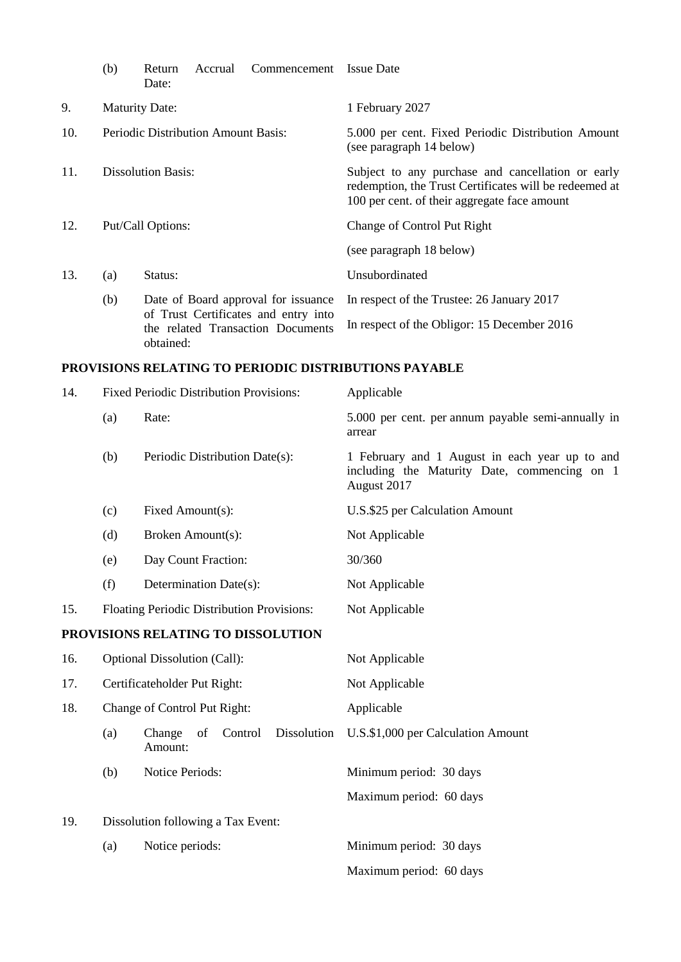|     | (b)                                 | Return<br>Date:                                                                        | Accrual                                     | Commencement | <b>Issue Date</b>                                                                                                                                           |
|-----|-------------------------------------|----------------------------------------------------------------------------------------|---------------------------------------------|--------------|-------------------------------------------------------------------------------------------------------------------------------------------------------------|
| 9.  | <b>Maturity Date:</b>               |                                                                                        |                                             |              | 1 February 2027                                                                                                                                             |
| 10. | Periodic Distribution Amount Basis: |                                                                                        |                                             |              | 5.000 per cent. Fixed Periodic Distribution Amount<br>(see paragraph 14 below)                                                                              |
| 11. | Dissolution Basis:                  |                                                                                        |                                             |              | Subject to any purchase and cancellation or early<br>redemption, the Trust Certificates will be redeemed at<br>100 per cent. of their aggregate face amount |
| 12. | Put/Call Options:                   |                                                                                        |                                             |              | Change of Control Put Right                                                                                                                                 |
|     |                                     |                                                                                        |                                             |              | (see paragraph 18 below)                                                                                                                                    |
| 13. | (a)                                 | Status:                                                                                |                                             |              | Unsubordinated                                                                                                                                              |
|     | (b)                                 | Date of Board approval for issuance                                                    |                                             |              | In respect of the Trustee: 26 January 2017                                                                                                                  |
|     |                                     | of Trust Certificates and entry into<br>the related Transaction Documents<br>obtained: | In respect of the Obligor: 15 December 2016 |              |                                                                                                                                                             |

# **PROVISIONS RELATING TO PERIODIC DISTRIBUTIONS PAYABLE**

| 14. |     | Fixed Periodic Distribution Provisions:           | Applicable                                                                                                    |
|-----|-----|---------------------------------------------------|---------------------------------------------------------------------------------------------------------------|
|     | (a) | Rate:                                             | 5.000 per cent. per annum payable semi-annually in<br>arrear                                                  |
|     | (b) | Periodic Distribution Date(s):                    | 1 February and 1 August in each year up to and<br>including the Maturity Date, commencing on 1<br>August 2017 |
|     | (c) | Fixed Amount(s):                                  | U.S.\$25 per Calculation Amount                                                                               |
|     | (d) | Broken Amount(s):                                 | Not Applicable                                                                                                |
|     | (e) | Day Count Fraction:                               | 30/360                                                                                                        |
|     | (f) | Determination Date(s):                            | Not Applicable                                                                                                |
| 15. |     | Floating Periodic Distribution Provisions:        | Not Applicable                                                                                                |
|     |     | PROVISIONS RELATING TO DISSOLUTION                |                                                                                                               |
| 16. |     | Optional Dissolution (Call):                      | Not Applicable                                                                                                |
| 17. |     | Certificateholder Put Right:                      | Not Applicable                                                                                                |
| 18. |     | Change of Control Put Right:                      | Applicable                                                                                                    |
|     | (a) | Dissolution<br>Change<br>of<br>Control<br>Amount: | U.S.\$1,000 per Calculation Amount                                                                            |
|     | (b) | Notice Periods:                                   | Minimum period: 30 days                                                                                       |
|     |     |                                                   | Maximum period: 60 days                                                                                       |
| 19. |     | Dissolution following a Tax Event:                |                                                                                                               |
|     | (a) | Notice periods:                                   | Minimum period: 30 days                                                                                       |
|     |     |                                                   | Maximum period: 60 days                                                                                       |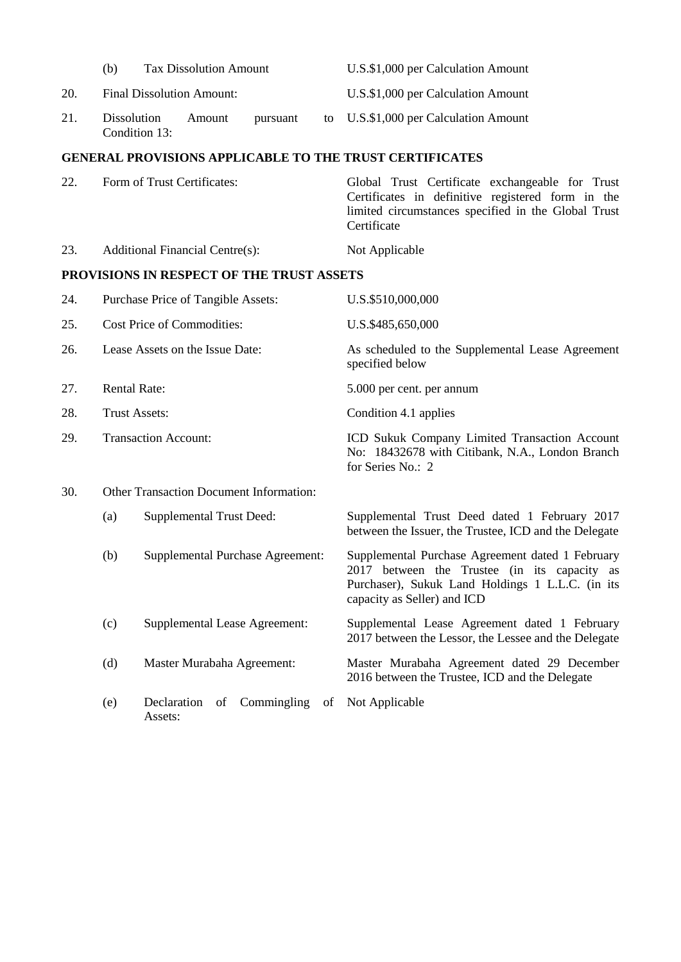|     | (b)                                     | <b>Tax Dissolution Amount</b>           |                                 |                                           |    | U.S.\$1,000 per Calculation Amount                                                                                                                                                  |  |
|-----|-----------------------------------------|-----------------------------------------|---------------------------------|-------------------------------------------|----|-------------------------------------------------------------------------------------------------------------------------------------------------------------------------------------|--|
| 20. |                                         | <b>Final Dissolution Amount:</b>        |                                 |                                           |    | U.S.\$1,000 per Calculation Amount                                                                                                                                                  |  |
| 21. |                                         | Dissolution<br>Condition 13:            | Amount                          | pursuant                                  | to | U.S.\$1,000 per Calculation Amount                                                                                                                                                  |  |
|     |                                         |                                         |                                 |                                           |    | <b>GENERAL PROVISIONS APPLICABLE TO THE TRUST CERTIFICATES</b>                                                                                                                      |  |
| 22. | Form of Trust Certificates:             |                                         |                                 |                                           |    | Global Trust Certificate exchangeable for Trust<br>Certificates in definitive registered form in the<br>limited circumstances specified in the Global Trust<br>Certificate          |  |
| 23. |                                         | <b>Additional Financial Centre(s):</b>  |                                 |                                           |    | Not Applicable                                                                                                                                                                      |  |
|     |                                         |                                         |                                 | PROVISIONS IN RESPECT OF THE TRUST ASSETS |    |                                                                                                                                                                                     |  |
| 24. | Purchase Price of Tangible Assets:      |                                         |                                 |                                           |    | U.S.\$510,000,000                                                                                                                                                                   |  |
| 25. | Cost Price of Commodities:              |                                         |                                 |                                           |    | U.S.\$485,650,000                                                                                                                                                                   |  |
| 26. | Lease Assets on the Issue Date:         |                                         |                                 |                                           |    | As scheduled to the Supplemental Lease Agreement<br>specified below                                                                                                                 |  |
| 27. | <b>Rental Rate:</b>                     |                                         |                                 |                                           |    | 5.000 per cent. per annum                                                                                                                                                           |  |
| 28. | <b>Trust Assets:</b>                    |                                         |                                 |                                           |    | Condition 4.1 applies                                                                                                                                                               |  |
| 29. | <b>Transaction Account:</b>             |                                         |                                 |                                           |    | ICD Sukuk Company Limited Transaction Account<br>No: 18432678 with Citibank, N.A., London Branch<br>for Series No.: 2                                                               |  |
| 30. | Other Transaction Document Information: |                                         |                                 |                                           |    |                                                                                                                                                                                     |  |
|     | (a)                                     |                                         | <b>Supplemental Trust Deed:</b> |                                           |    | Supplemental Trust Deed dated 1 February 2017<br>between the Issuer, the Trustee, ICD and the Delegate                                                                              |  |
|     | (b)                                     | <b>Supplemental Purchase Agreement:</b> |                                 |                                           |    | Supplemental Purchase Agreement dated 1 February<br>2017 between the Trustee (in its capacity as<br>Purchaser), Sukuk Land Holdings 1 L.L.C. (in its<br>capacity as Seller) and ICD |  |
|     | (c)                                     |                                         |                                 | <b>Supplemental Lease Agreement:</b>      |    | Supplemental Lease Agreement dated 1 February<br>2017 between the Lessor, the Lessee and the Delegate                                                                               |  |
|     | (d)                                     | Master Murabaha Agreement:              |                                 |                                           |    | Master Murabaha Agreement dated 29 December<br>2016 between the Trustee, ICD and the Delegate                                                                                       |  |
|     | (e)                                     | Declaration                             | of                              | Commingling                               | of | Not Applicable                                                                                                                                                                      |  |

Assets: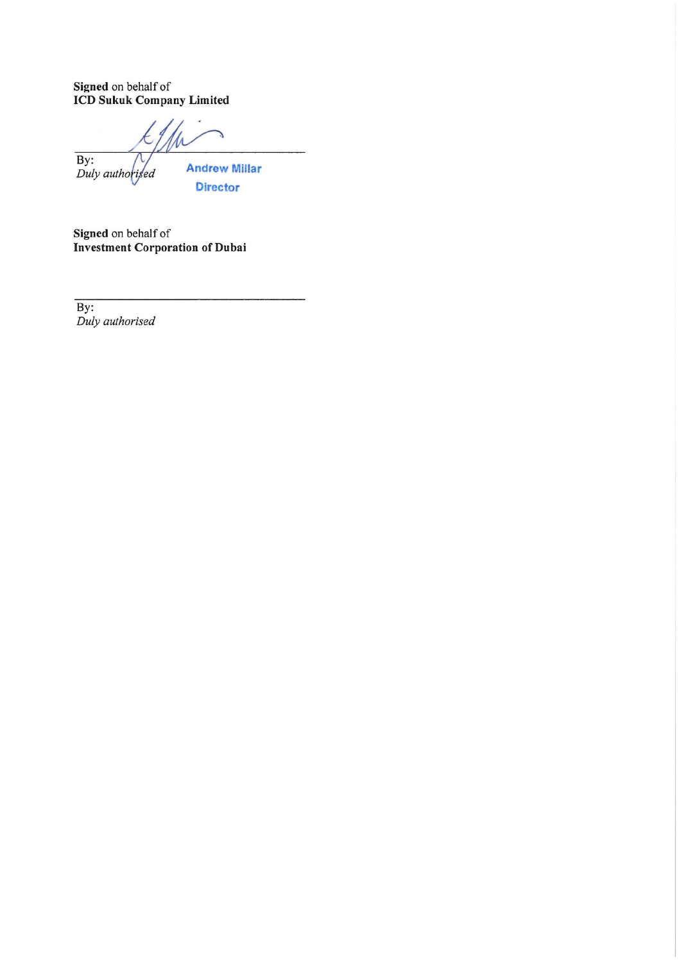Signed on behalf of<br>ICD Sukuk Company Limited

 $\overline{By:}$ **Andrew Millar** Duly authorised

**Director** 

Signed on behalf of<br>Investment Corporation of Dubai

 $\overline{By:}$ Duly authorised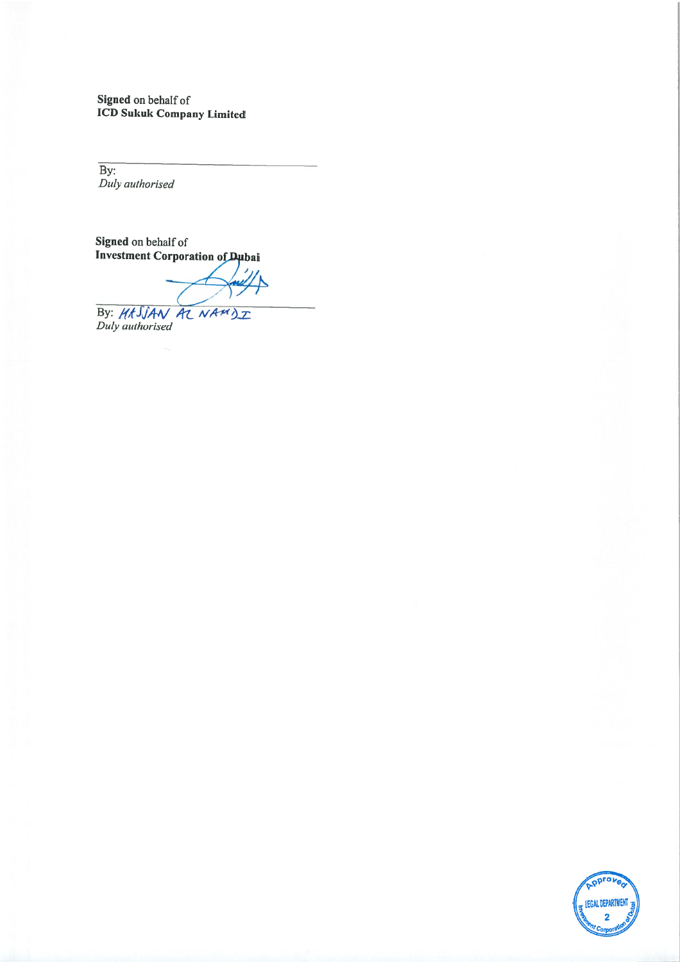Signed on behalf of<br>ICD Sukuk Company Limited

By:<br>Duly authorised

Signed on behalf of<br>Investment Corporation of Dubai

By: HASSAN AZ NAMDZ

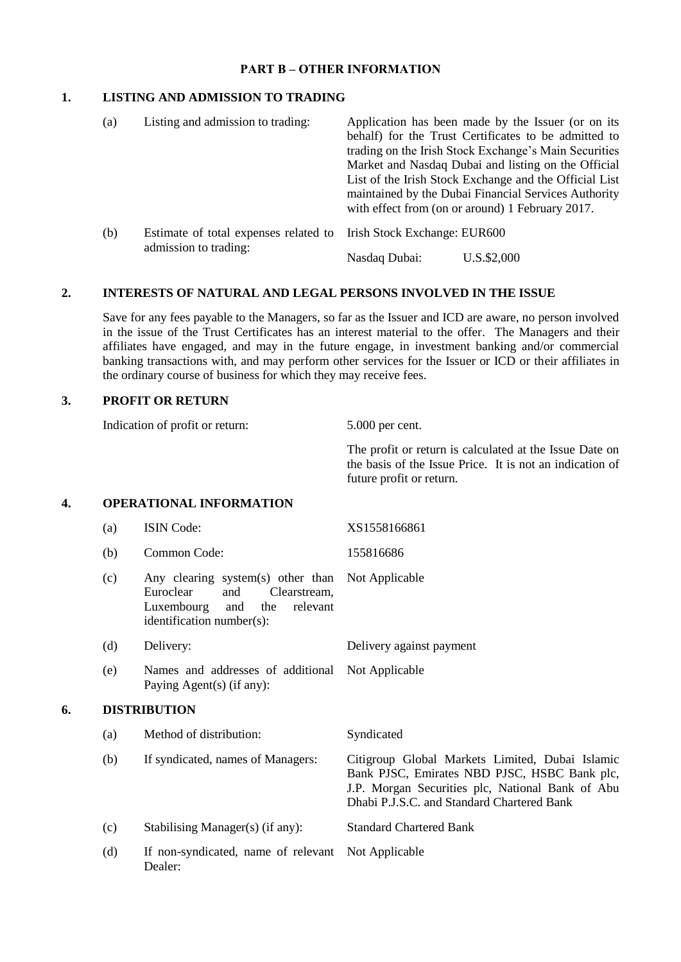### **PART B – OTHER INFORMATION**

# **1. LISTING AND ADMISSION TO TRADING**

| (a) | Listing and admission to trading:                              | Application has been made by the Issuer (or on its<br>behalf) for the Trust Certificates to be admitted to<br>trading on the Irish Stock Exchange's Main Securities<br>Market and Nasdaq Dubai and listing on the Official<br>List of the Irish Stock Exchange and the Official List<br>maintained by the Dubai Financial Services Authority<br>with effect from (on or around) 1 February 2017. |
|-----|----------------------------------------------------------------|--------------------------------------------------------------------------------------------------------------------------------------------------------------------------------------------------------------------------------------------------------------------------------------------------------------------------------------------------------------------------------------------------|
| (b) | Estimate of total expenses related to<br>admission to trading: | Irish Stock Exchange: EUR600                                                                                                                                                                                                                                                                                                                                                                     |
|     |                                                                | U.S.\$2,000<br>Nasdaq Dubai:                                                                                                                                                                                                                                                                                                                                                                     |

### **2. INTERESTS OF NATURAL AND LEGAL PERSONS INVOLVED IN THE ISSUE**

Save for any fees payable to the Managers, so far as the Issuer and ICD are aware, no person involved in the issue of the Trust Certificates has an interest material to the offer. The Managers and their affiliates have engaged, and may in the future engage, in investment banking and/or commercial banking transactions with, and may perform other services for the Issuer or ICD or their affiliates in the ordinary course of business for which they may receive fees.

# **3. PROFIT OR RETURN**

Indication of profit or return: 5.000 per cent.

The profit or return is calculated at the Issue Date on the basis of the Issue Price. It is not an indication of future profit or return.

### **4. OPERATIONAL INFORMATION**

|    | (a)                                      | <b>ISIN Code:</b>                                                                                                                          | XS1558166861                                                                                                                                                                                      |
|----|------------------------------------------|--------------------------------------------------------------------------------------------------------------------------------------------|---------------------------------------------------------------------------------------------------------------------------------------------------------------------------------------------------|
|    | (b)                                      | Common Code:                                                                                                                               | 155816686                                                                                                                                                                                         |
|    | (c)                                      | Any clearing system(s) other than<br>Euroclear<br>and<br>Clearstream,<br>Luxembourg<br>the<br>relevant<br>and<br>identification number(s): | Not Applicable                                                                                                                                                                                    |
|    | (d)                                      | Delivery:                                                                                                                                  | Delivery against payment                                                                                                                                                                          |
|    | (e)                                      | Names and addresses of additional<br>Paying Agent(s) (if any):                                                                             | Not Applicable                                                                                                                                                                                    |
| 6. | <b>DISTRIBUTION</b>                      |                                                                                                                                            |                                                                                                                                                                                                   |
|    | (a)                                      | Method of distribution:                                                                                                                    | Syndicated                                                                                                                                                                                        |
|    | If syndicated, names of Managers:<br>(b) |                                                                                                                                            | Citigroup Global Markets Limited, Dubai Islamic<br>Bank PJSC, Emirates NBD PJSC, HSBC Bank plc,<br>J.P. Morgan Securities plc, National Bank of Abu<br>Dhabi P.J.S.C. and Standard Chartered Bank |
|    | (c)                                      | Stabilising Manager(s) (if any):                                                                                                           | <b>Standard Chartered Bank</b>                                                                                                                                                                    |
|    | (d)                                      | If non-syndicated, name of relevant<br>Dealer:                                                                                             | Not Applicable                                                                                                                                                                                    |